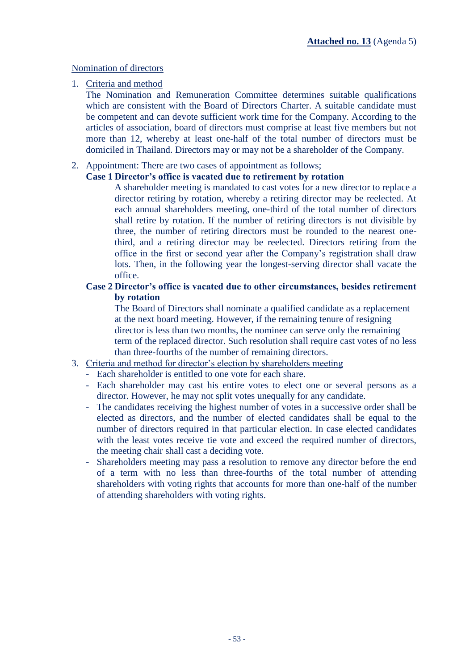## Nomination of directors

1. Criteria and method

The Nomination and Remuneration Committee determines suitable qualifications which are consistent with the Board of Directors Charter. A suitable candidate must be competent and can devote sufficient work time for the Company. According to the articles of association, board of directors must comprise at least five members but not more than 12, whereby at least one-half of the total number of directors must be domiciled in Thailand. Directors may or may not be a shareholder of the Company.

# 2. Appointment: There are two cases of appointment as follows;

# **Case 1 Director's office is vacated due to retirement by rotation**

A shareholder meeting is mandated to cast votes for a new director to replace a director retiring by rotation, whereby a retiring director may be reelected. At each annual shareholders meeting, one-third of the total number of directors shall retire by rotation. If the number of retiring directors is not divisible by three, the number of retiring directors must be rounded to the nearest onethird, and a retiring director may be reelected. Directors retiring from the office in the first or second year after the Company's registration shall draw lots. Then, in the following year the longest-serving director shall vacate the office.

### **Case 2 Director's office is vacated due to other circumstances, besides retirement by rotation**

The Board of Directors shall nominate a qualified candidate as a replacement at the next board meeting. However, if the remaining tenure of resigning director is less than two months, the nominee can serve only the remaining term of the replaced director. Such resolution shall require cast votes of no less than three-fourths of the number of remaining directors.

### 3. Criteria and method for director's election by shareholders meeting

- Each shareholder is entitled to one vote for each share.
- Each shareholder may cast his entire votes to elect one or several persons as a director. However, he may not split votes unequally for any candidate.
- The candidates receiving the highest number of votes in a successive order shall be elected as directors, and the number of elected candidates shall be equal to the number of directors required in that particular election. In case elected candidates with the least votes receive tie vote and exceed the required number of directors, the meeting chair shall cast a deciding vote.
- Shareholders meeting may pass a resolution to remove any director before the end of a term with no less than three-fourths of the total number of attending shareholders with voting rights that accounts for more than one-half of the number of attending shareholders with voting rights.